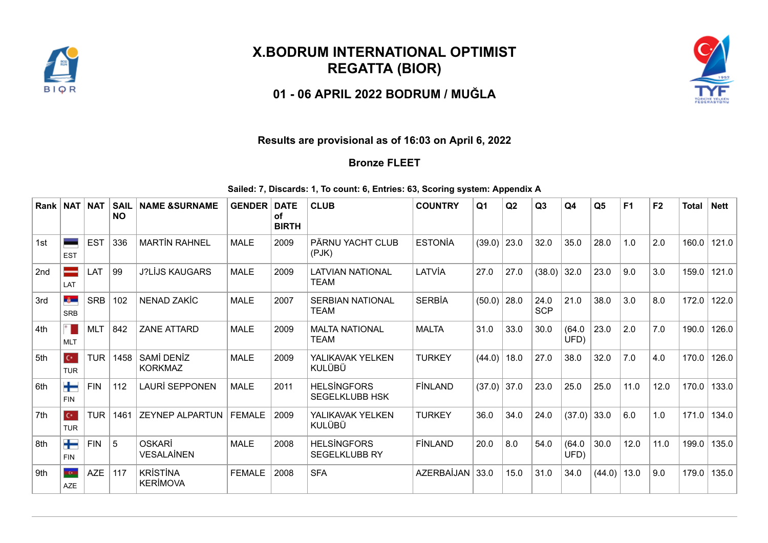

## **X.BODRUM INTERNATIONAL OPTIMIST REGATTA (BIOR)**

**01 - 06 APRIL 2022 BODRUM / MUĞLA**



## **Results are provisional as of 16:03 on April 6, 2022**

## **Bronze FLEET**

**Sailed: 7, Discards: 1, To count: 6, Entries: 63, Scoring system: Appendix A**

| Rank   NAT |                             | <b>NAT</b> | <b>SAIL</b><br><b>NO</b> | <b>NAME &amp;SURNAME</b>           | <b>GENDER</b> | <b>DATE</b><br>οf<br><b>BIRTH</b> | <b>CLUB</b>                                 | <b>COUNTRY</b> | Q <sub>1</sub> | Q2   | Q3                 | Q4             | Q <sub>5</sub> | F <sub>1</sub> | F <sub>2</sub> | <b>Total</b> | <b>Nett</b> |
|------------|-----------------------------|------------|--------------------------|------------------------------------|---------------|-----------------------------------|---------------------------------------------|----------------|----------------|------|--------------------|----------------|----------------|----------------|----------------|--------------|-------------|
| 1st        | <b>EST</b>                  | <b>EST</b> | 336                      | <b>MARTIN RAHNEL</b>               | <b>MALE</b>   | 2009                              | PÄRNU YACHT CLUB<br>$($ PJK $)$             | <b>ESTONÍA</b> | (39.0)         | 23.0 | 32.0               | 35.0           | 28.0           | 1.0            | 2.0            | 160.0        | 121.0       |
| 2nd        | LAT                         | LAT        | 99                       | <b>J?LİJS KAUGARS</b>              | <b>MALE</b>   | 2009                              | <b>LATVIAN NATIONAL</b><br><b>TEAM</b>      | LATVİA         | 27.0           | 27.0 | (38.0)             | 32.0           | 23.0           | 9.0            | 3.0            | 159.0        | 121.0       |
| 3rd        | <b>System</b><br><b>SRB</b> | <b>SRB</b> | 102                      | NENAD ZAKİC                        | <b>MALE</b>   | 2007                              | <b>SERBIAN NATIONAL</b><br><b>TEAM</b>      | <b>SERBİA</b>  | $(50.0)$ 28.0  |      | 24.0<br><b>SCP</b> | 21.0           | 38.0           | 3.0            | 8.0            | 172.0        | 122.0       |
| 4th        | <b>MLT</b>                  | <b>MLT</b> | 842                      | <b>ZANE ATTARD</b>                 | <b>MALE</b>   | 2009                              | <b>MALTA NATIONAL</b><br><b>TEAM</b>        | <b>MALTA</b>   | 31.0           | 33.0 | 30.0               | (64.0)<br>UFD) | 23.0           | 2.0            | 7.0            | 190.0        | 126.0       |
| 5th        | $C^*$<br><b>TUR</b>         | <b>TUR</b> | 1458                     | SAMİ DENİZ<br><b>KORKMAZ</b>       | <b>MALE</b>   | 2009                              | YALIKAVAK YELKEN<br>KULÜBÜ                  | <b>TURKEY</b>  | (44.0)         | 18.0 | 27.0               | 38.0           | 32.0           | 7.0            | 4.0            | 170.0        | 126.0       |
| 6th        | ╈<br><b>FIN</b>             | <b>FIN</b> | 112                      | <b>LAURİ SEPPONEN</b>              | <b>MALE</b>   | 2011                              | <b>HELSİNGFORS</b><br><b>SEGELKLUBB HSK</b> | <b>FINLAND</b> | (37.0)         | 37.0 | 23.0               | 25.0           | 25.0           | 11.0           | 12.0           | 170.0        | 133.0       |
| 7th        | $C^*$<br><b>TUR</b>         | <b>TUR</b> | 1461                     | <b>ZEYNEP ALPARTUN</b>             | <b>FEMALE</b> | 2009                              | YALIKAVAK YELKEN<br><b>KULÜBÜ</b>           | <b>TURKEY</b>  | 36.0           | 34.0 | 24.0               | (37.0)         | 33.0           | 6.0            | 1.0            | 171.0        | 134.0       |
| 8th        | ╈<br><b>FIN</b>             | <b>FIN</b> | 5                        | OSKARİ<br><b>VESALAİNEN</b>        | <b>MALE</b>   | 2008                              | <b>HELSİNGFORS</b><br><b>SEGELKLUBB RY</b>  | <b>FINLAND</b> | 20.0           | 8.0  | 54.0               | (64.0)<br>UFD) | 30.0           | 12.0           | 11.0           | 199.0        | 135.0       |
| 9th        | <b>KG</b><br><b>AZE</b>     | <b>AZE</b> | 117                      | <b>KRİSTİNA</b><br><b>KERİMOVA</b> | <b>FEMALE</b> | 2008                              | <b>SFA</b>                                  | AZERBAİJAN     | 33.0           | 15.0 | 31.0               | 34.0           | (44.0)         | 13.0           | 9.0            | 179.0        | 135.0       |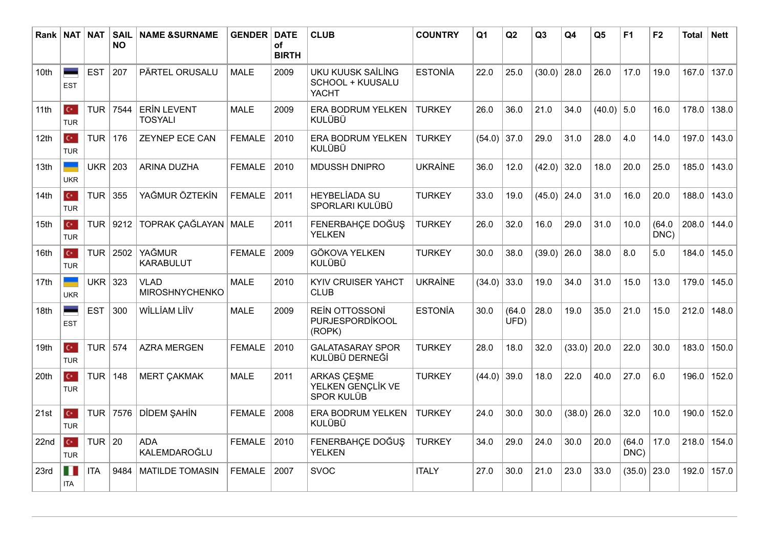| Rank l           | <b>NAT NAT</b>                     |                  | <b>SAIL</b><br><b>NO</b> | <b>NAME &amp;SURNAME</b>             | <b>GENDER</b> | <b>DATE</b><br>of<br><b>BIRTH</b> | <b>CLUB</b>                                           | <b>COUNTRY</b> | Q <sub>1</sub> | Q2             | Q3     | Q <sub>4</sub> | Q <sub>5</sub> | F <sub>1</sub> | F2             | <b>Total</b> | <b>Nett</b> |
|------------------|------------------------------------|------------------|--------------------------|--------------------------------------|---------------|-----------------------------------|-------------------------------------------------------|----------------|----------------|----------------|--------|----------------|----------------|----------------|----------------|--------------|-------------|
| 10 <sub>th</sub> | <b>EST</b>                         | <b>EST</b>       | 207                      | PÄRTEL ORUSALU                       | <b>MALE</b>   | 2009                              | UKU KUUSK SAİLİNG<br>SCHOOL + KUUSALU<br><b>YACHT</b> | <b>ESTONÍA</b> | 22.0           | 25.0           | (30.0) | 28.0           | 26.0           | 17.0           | 19.0           | 167.0        | 137.0       |
| 11th             | $\mathbf{C}^{\star}$<br><b>TUR</b> | <b>TUR</b>       | 7544                     | <b>ERIN LEVENT</b><br><b>TOSYALI</b> | <b>MALE</b>   | 2009                              | ERA BODRUM YELKEN<br><b>KULÜBÜ</b>                    | <b>TURKEY</b>  | 26.0           | 36.0           | 21.0   | 34.0           | $(40.0)$ 5.0   |                | 16.0           | 178.0        | 138.0       |
| 12th             | $\mathbf{C}^{\star}$<br><b>TUR</b> | TUR              | 176                      | ZEYNEP ECE CAN                       | <b>FEMALE</b> | 2010                              | ERA BODRUM YELKEN<br><b>KULÜBÜ</b>                    | <b>TURKEY</b>  | (54.0)         | 37.0           | 29.0   | 31.0           | 28.0           | 4.0            | 14.0           | 197.0        | 143.0       |
| 13th             | <b>UKR</b>                         | UKR <sup>I</sup> | 203                      | <b>ARINA DUZHA</b>                   | <b>FEMALE</b> | 2010                              | <b>MDUSSH DNIPRO</b>                                  | <b>UKRAİNE</b> | 36.0           | 12.0           | (42.0) | 32.0           | 18.0           | 20.0           | 25.0           | 185.0        | 143.0       |
| 14th             | $\mathbf{C}^{\star}$<br><b>TUR</b> | <b>TUR</b>       | 355                      | YAĞMUR ÖZTEKİN                       | <b>FEMALE</b> | 2011                              | <b>HEYBELİADA SU</b><br>SPORLARI KULÜBÜ               | <b>TURKEY</b>  | 33.0           | 19.0           | (45.0) | 24.0           | 31.0           | 16.0           | 20.0           | 188.0        | 143.0       |
| 15th             | $\mathbf{C}^{\star}$<br><b>TUR</b> | TUR              | 9212                     | TOPRAK ÇAĞLAYAN   MALE               |               | 2011                              | FENERBAHCE DOĞUŞ<br><b>YELKEN</b>                     | <b>TURKEY</b>  | 26.0           | 32.0           | 16.0   | 29.0           | 31.0           | 10.0           | (64.0)<br>DNC) | 208.0        | 144.0       |
| 16th             | $\mathbf{C}^{\star}$<br><b>TUR</b> | <b>TUR</b>       | 2502                     | <b>YAĞMUR</b><br><b>KARABULUT</b>    | <b>FEMALE</b> | 2009                              | <b>GÖKOVA YELKEN</b><br><b>KULÜBÜ</b>                 | <b>TURKEY</b>  | 30.0           | 38.0           | (39.0) | 26.0           | 38.0           | 8.0            | 5.0            | 184.0        | 145.0       |
| 17th             | <b>UKR</b>                         | UKR              | 323                      | <b>VLAD</b><br><b>MIROSHNYCHENKO</b> | <b>MALE</b>   | 2010                              | <b>KYIV CRUISER YAHCT</b><br><b>CLUB</b>              | <b>UKRAİNE</b> | (34.0)         | 33.0           | 19.0   | 34.0           | 31.0           | 15.0           | 13.0           | 179.0        | 145.0       |
| 18th             | ÷<br><b>EST</b>                    | <b>EST</b>       | 300                      | WİLLİAM LİİV                         | <b>MALE</b>   | 2009                              | <b>REIN OTTOSSONI</b><br>PURJESPORDİKOOL<br>(ROPK)    | <b>ESTONÍA</b> | 30.0           | (64.0)<br>UFD) | 28.0   | 19.0           | 35.0           | 21.0           | 15.0           | 212.0        | 148.0       |
| 19th             | $\mathbf{C}^{\star}$<br><b>TUR</b> | TUR              | 574                      | <b>AZRA MERGEN</b>                   | <b>FEMALE</b> | 2010                              | <b>GALATASARAY SPOR</b><br>KULÜBÜ DERNEĞİ             | <b>TURKEY</b>  | 28.0           | 18.0           | 32.0   | (33.0)         | 20.0           | 22.0           | 30.0           | 183.0        | 150.0       |
| 20th             | $\mathbf{C}^{\star}$<br><b>TUR</b> | <b>TUR</b>       | 148                      | <b>MERT ÇAKMAK</b>                   | <b>MALE</b>   | 2011                              | ARKAS ÇEŞME<br>YELKEN GENÇLİK VE<br><b>SPOR KULÜB</b> | <b>TURKEY</b>  | (44.0)         | 39.0           | 18.0   | 22.0           | 40.0           | 27.0           | 6.0            | 196.0        | 152.0       |
| 21st             | $\mathbf{C}^{\star}$<br><b>TUR</b> | <b>TUR</b>       | 7576                     | DİDEM ŞAHİN                          | <b>FEMALE</b> | 2008                              | <b>ERA BODRUM YELKEN</b><br>KULÜBÜ                    | <b>TURKEY</b>  | 24.0           | 30.0           | 30.0   | (38.0)         | 26.0           | 32.0           | 10.0           | 190.0        | 152.0       |
| 22nd             | $\mathbf{C}^{\star}$<br><b>TUR</b> | TUR $ 20$        |                          | <b>ADA</b><br>KALEMDAROĞLU           | <b>FEMALE</b> | 2010                              | FENERBAHÇE DOĞUŞ<br><b>YELKEN</b>                     | <b>TURKEY</b>  | 34.0           | 29.0           | 24.0   | 30.0           | 20.0           | (64.0)<br>DNC) | 17.0           | 218.0        | 154.0       |
| 23rd             | П<br><b>ITA</b>                    | <b>ITA</b>       | 9484                     | <b>MATILDE TOMASIN</b>               | <b>FEMALE</b> | 2007                              | <b>SVOC</b>                                           | <b>ITALY</b>   | 27.0           | 30.0           | 21.0   | 23.0           | 33.0           | (35.0)         | 23.0           | 192.0        | 157.0       |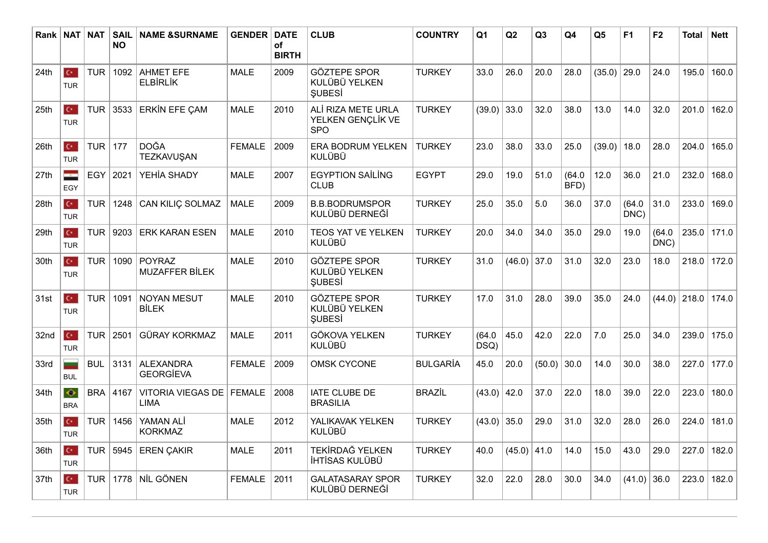| Rank   NAT       |                                      | <b>NAT</b>       | <b>SAIL</b><br><b>NO</b> | <b>NAME &amp;SURNAME</b>               | <b>GENDER</b> | <b>DATE</b><br>of<br><b>BIRTH</b> | <b>CLUB</b>                                           | <b>COUNTRY</b>  | Q <sub>1</sub> | Q2     | Q3     | Q4             | Q <sub>5</sub> | F1             | F <sub>2</sub> | <b>Total</b>   | <b>Nett</b> |
|------------------|--------------------------------------|------------------|--------------------------|----------------------------------------|---------------|-----------------------------------|-------------------------------------------------------|-----------------|----------------|--------|--------|----------------|----------------|----------------|----------------|----------------|-------------|
| 24th             | $\mathbf{C}^{\star}$<br><b>TUR</b>   | <b>TUR</b>       | 1092                     | <b>AHMET EFE</b><br><b>ELBİRLİK</b>    | <b>MALE</b>   | 2009                              | <b>GÖZTEPE SPOR</b><br>KULÜBÜ YELKEN<br><b>ŞUBESİ</b> | <b>TURKEY</b>   | 33.0           | 26.0   | 20.0   | 28.0           | $(35.0)$ 29.0  |                | 24.0           | 195.0          | 160.0       |
| 25th             | $\mathbf{C}^{\star}$<br><b>TUR</b>   | <b>TUR</b>       | 3533                     | <b>ERKIN EFE ÇAM</b>                   | <b>MALE</b>   | 2010                              | ALİ RIZA METE URLA<br>YELKEN GENÇLİK VE<br><b>SPO</b> | <b>TURKEY</b>   | (39.0)         | 33.0   | 32.0   | 38.0           | 13.0           | 14.0           | 32.0           | 201.0          | 162.0       |
| 26 <sub>th</sub> | $\mathbf{C}^{\star}$<br><b>TUR</b>   | TUR              | 177                      | <b>DOĞA</b><br>TEZKAVUŞAN              | <b>FEMALE</b> | 2009                              | ERA BODRUM YELKEN<br><b>KULÜBÜ</b>                    | <b>TURKEY</b>   | 23.0           | 38.0   | 33.0   | 25.0           | (39.0)         | 18.0           | 28.0           | 204.0          | 165.0       |
| 27th             | ÷<br>EGY                             | EGY              | 2021                     | YEHİA SHADY                            | <b>MALE</b>   | 2007                              | <b>EGYPTION SAİLİNG</b><br><b>CLUB</b>                | <b>EGYPT</b>    | 29.0           | 19.0   | 51.0   | (64.0)<br>BFD) | 12.0           | 36.0           | 21.0           | 232.0          | 168.0       |
| 28th             | $C^*$<br><b>TUR</b>                  | <b>TUR</b>       | 1248                     | CAN KILIÇ SOLMAZ                       | <b>MALE</b>   | 2009                              | <b>B.B.BODRUMSPOR</b><br>KULÜBÜ DERNEĞİ               | <b>TURKEY</b>   | 25.0           | 35.0   | 5.0    | 36.0           | 37.0           | (64.0)<br>DNC) | 31.0           | 233.0          | 169.0       |
| 29th             | $\mathbf{C}^{\star}$<br><b>TUR</b>   | <b>TUR</b>       | 9203                     | <b>ERK KARAN ESEN</b>                  | <b>MALE</b>   | 2010                              | TEOS YAT VE YELKEN<br><b>KULÜBÜ</b>                   | <b>TURKEY</b>   | 20.0           | 34.0   | 34.0   | 35.0           | 29.0           | 19.0           | (64.0)<br>DNC) | 235.0          | 171.0       |
| 30th             | $\mathbf{C}^{\star}$ .<br><b>TUR</b> | <b>TUR</b>       | 1090                     | <b>POYRAZ</b><br><b>MUZAFFER BİLEK</b> | <b>MALE</b>   | 2010                              | <b>GÖZTEPE SPOR</b><br>KULÜBÜ YELKEN<br><b>SUBESI</b> | <b>TURKEY</b>   | 31.0           | (46.0) | 37.0   | 31.0           | 32.0           | 23.0           | 18.0           | 218.0          | 172.0       |
| 31st             | $\mathbf{C}^{\star}$<br><b>TUR</b>   | <b>TUR</b>       | 1091                     | <b>NOYAN MESUT</b><br><b>BİLEK</b>     | <b>MALE</b>   | 2010                              | <b>GÖZTEPE SPOR</b><br>KULÜBÜ YELKEN<br><b>ŞUBESİ</b> | <b>TURKEY</b>   | 17.0           | 31.0   | 28.0   | 39.0           | 35.0           | 24.0           |                | $(44.0)$ 218.0 | 174.0       |
| 32nd             | $\mathbf{C}^{\star}$<br><b>TUR</b>   | TUR <sup>I</sup> | 2501                     | <b>GÜRAY KORKMAZ</b>                   | <b>MALE</b>   | 2011                              | <b>GÖKOVA YELKEN</b><br><b>KULÜBÜ</b>                 | <b>TURKEY</b>   | (64.0)<br>DSQ) | 45.0   | 42.0   | 22.0           | 7.0            | 25.0           | 34.0           | 239.0          | 175.0       |
| 33rd             | -<br><b>BUL</b>                      | <b>BUL</b>       | 3131                     | <b>ALEXANDRA</b><br><b>GEORGİEVA</b>   | <b>FEMALE</b> | 2009                              | <b>OMSK CYCONE</b>                                    | <b>BULGARİA</b> | 45.0           | 20.0   | (50.0) | 30.0           | 14.0           | 30.0           | 38.0           | 227.0          | 177.0       |
| 34th             | $\bullet$<br><b>BRA</b>              | <b>BRA</b>       | 4167                     | VITORIA VIEGAS DE<br><b>LIMA</b>       | <b>FEMALE</b> | 2008                              | IATE CLUBE DE<br><b>BRASILIA</b>                      | <b>BRAZİL</b>   | (43.0)         | 42.0   | 37.0   | 22.0           | 18.0           | 39.0           | 22.0           | 223.0          | 180.0       |
| 35th             | $\mathbf{C}^{\star}$<br><b>TUR</b>   | <b>TUR</b>       | 1456                     | YAMAN ALİ<br><b>KORKMAZ</b>            | <b>MALE</b>   | 2012                              | YALIKAVAK YELKEN<br><b>KULÜBÜ</b>                     | <b>TURKEY</b>   | (43.0)         | 35.0   | 29.0   | 31.0           | 32.0           | 28.0           | 26.0           | 224.0          | 181.0       |
| 36th             | $\mathbf{C}^{\star}$<br><b>TUR</b>   |                  | TUR 5945                 | <b>EREN ÇAKIR</b>                      | <b>MALE</b>   | 2011                              | TEKİRDAĞ YELKEN<br>İHTİSAS KULÜBÜ                     | <b>TURKEY</b>   | 40.0           | (45.0) | 41.0   | 14.0           | 15.0           | 43.0           | 29.0           | 227.0          | 182.0       |
| 37th             | $\mathbf{C}^{\star}$<br><b>TUR</b>   | <b>TUR</b>       | 1778                     | NİL GÖNEN                              | <b>FEMALE</b> | 2011                              | <b>GALATASARAY SPOR</b><br>KULÜBÜ DERNEĞİ             | <b>TURKEY</b>   | 32.0           | 22.0   | 28.0   | 30.0           | 34.0           | (41.0)         | 36.0           | 223.0          | 182.0       |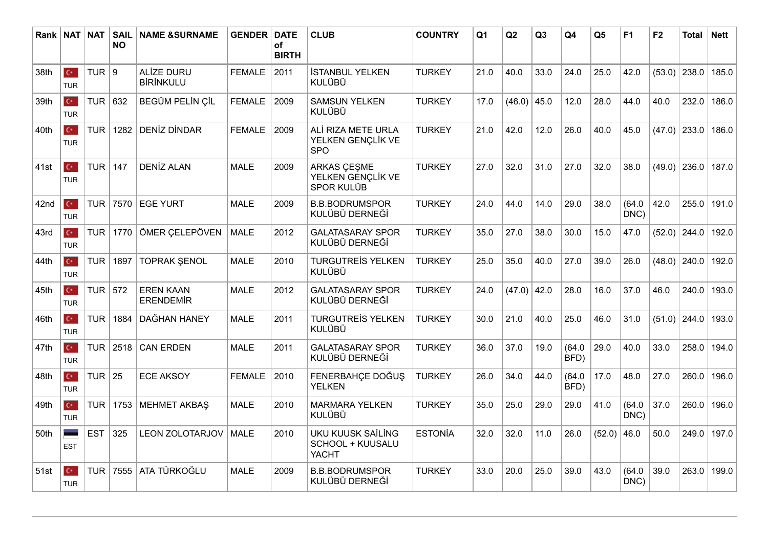| Rank   NAT |                                    | <b>NAT</b> | <b>SAIL</b><br><b>NO</b> | <b>NAME &amp;SURNAME</b>              | <b>GENDER</b> | <b>DATE</b><br>of<br><b>BIRTH</b> | <b>CLUB</b>                                                  | <b>COUNTRY</b> | Q <sub>1</sub> | Q2     | Q3   | Q <sub>4</sub> | Q <sub>5</sub> | F <sub>1</sub> | F2     | <b>Total</b>   | <b>Nett</b> |
|------------|------------------------------------|------------|--------------------------|---------------------------------------|---------------|-----------------------------------|--------------------------------------------------------------|----------------|----------------|--------|------|----------------|----------------|----------------|--------|----------------|-------------|
| 38th       | $\mathbf{C}^{\star}$<br><b>TUR</b> | TUR $ 9$   |                          | <b>ALİZE DURU</b><br><b>BİRİNKULU</b> | <b>FEMALE</b> | 2011                              | <b>İSTANBUL YELKEN</b><br><b>KULÜBÜ</b>                      | <b>TURKEY</b>  | 21.0           | 40.0   | 33.0 | 24.0           | 25.0           | 42.0           | (53.0) | 238.0          | 185.0       |
| 39th       | $C^*$<br><b>TUR</b>                | TUR        | 632                      | BEGÜM PELİN ÇİL                       | <b>FEMALE</b> | 2009                              | <b>SAMSUN YELKEN</b><br><b>KULÜBÜ</b>                        | <b>TURKEY</b>  | 17.0           | (46.0) | 45.0 | 12.0           | 28.0           | 44.0           | 40.0   | 232.0          | 186.0       |
| 40th       | $\mathbf{C}^{\star}$<br><b>TUR</b> | <b>TUR</b> | 1282                     | <b>DENİZ DİNDAR</b>                   | <b>FEMALE</b> | 2009                              | ALİ RIZA METE URLA<br>YELKEN GENÇLİK VE<br><b>SPO</b>        | <b>TURKEY</b>  | 21.0           | 42.0   | 12.0 | 26.0           | 40.0           | 45.0           | (47.0) | 233.0          | 186.0       |
| 41st       | $\mathbf{C}^{\star}$<br><b>TUR</b> | <b>TUR</b> | 147                      | <b>DENİZ ALAN</b>                     | <b>MALE</b>   | 2009                              | <b>ARKAS ÇEŞME</b><br>YELKEN GENÇLİK VE<br><b>SPOR KULÜB</b> | <b>TURKEY</b>  | 27.0           | 32.0   | 31.0 | 27.0           | 32.0           | 38.0           | (49.0) | 236.0          | 187.0       |
| 42nd       | $\mathbf{C}^{\star}$<br><b>TUR</b> | <b>TUR</b> | 7570                     | <b>EGE YURT</b>                       | <b>MALE</b>   | 2009                              | <b>B.B.BODRUMSPOR</b><br>KULÜBÜ DERNEĞİ                      | <b>TURKEY</b>  | 24.0           | 44.0   | 14.0 | 29.0           | 38.0           | (64.0)<br>DNC) | 42.0   | 255.0          | 191.0       |
| 43rd       | $\mathbf{C}^{\star}$<br><b>TUR</b> | <b>TUR</b> | 1770                     | ÖMER ÇELEPÖVEN                        | <b>MALE</b>   | 2012                              | <b>GALATASARAY SPOR</b><br>KULÜBÜ DERNEĞİ                    | <b>TURKEY</b>  | 35.0           | 27.0   | 38.0 | 30.0           | 15.0           | 47.0           | (52.0) | 244.0          | 192.0       |
| 44th       | $\mathbf{C}^{\star}$<br><b>TUR</b> | TUR        | 1897                     | <b>TOPRAK ŞENOL</b>                   | <b>MALE</b>   | 2010                              | <b>TURGUTREIS YELKEN</b><br><b>KULÜBÜ</b>                    | <b>TURKEY</b>  | 25.0           | 35.0   | 40.0 | 27.0           | 39.0           | 26.0           | (48.0) | 240.0          | 192.0       |
| 45th       | $\mathbf{C}^{\star}$<br><b>TUR</b> | <b>TUR</b> | 572                      | <b>EREN KAAN</b><br><b>ERENDEMİR</b>  | <b>MALE</b>   | 2012                              | <b>GALATASARAY SPOR</b><br>KULÜBÜ DERNEĞİ                    | <b>TURKEY</b>  | 24.0           | (47.0) | 42.0 | 28.0           | 16.0           | 37.0           | 46.0   | 240.0          | 193.0       |
| 46th       | $C^*$<br><b>TUR</b>                | <b>TUR</b> | 1884                     | DAĞHAN HANEY                          | <b>MALE</b>   | 2011                              | <b>TURGUTREIS YELKEN</b><br><b>KULÜBÜ</b>                    | <b>TURKEY</b>  | 30.0           | 21.0   | 40.0 | 25.0           | 46.0           | 31.0           |        | $(51.0)$ 244.0 | 193.0       |
| 47th       | $\mathbf{C}^{\star}$<br><b>TUR</b> | TUR        | 2518                     | <b>CAN ERDEN</b>                      | <b>MALE</b>   | 2011                              | <b>GALATASARAY SPOR</b><br>KULÜBÜ DERNEĞİ                    | <b>TURKEY</b>  | 36.0           | 37.0   | 19.0 | (64.0)<br>BFD) | 29.0           | 40.0           | 33.0   | 258.0          | 194.0       |
| 48th       | $\mathbf{C}^{\star}$<br><b>TUR</b> | TUR $25$   |                          | <b>ECE AKSOY</b>                      | <b>FEMALE</b> | 2010                              | FENERBAHÇE DOĞUŞ<br><b>YELKEN</b>                            | <b>TURKEY</b>  | 26.0           | 34.0   | 44.0 | (64.0)<br>BFD) | 17.0           | 48.0           | 27.0   | 260.0          | 196.0       |
| 49th       | $\mathbf{C}^{\star}$<br><b>TUR</b> | TUR        | 1753                     | <b>MEHMET AKBAŞ</b>                   | <b>MALE</b>   | 2010                              | <b>MARMARA YELKEN</b><br><b>KULÜBÜ</b>                       | <b>TURKEY</b>  | 35.0           | 25.0   | 29.0 | 29.0           | 41.0           | (64.0)<br>DNC) | 37.0   | 260.0          | 196.0       |
| 50th       | <b>EST</b>                         | <b>EST</b> | 325                      | <b>LEON ZOLOTARJOV</b>                | <b>MALE</b>   | 2010                              | <b>UKU KUUSK SAİLİNG</b><br>SCHOOL + KUUSALU<br><b>YACHT</b> | <b>ESTONÍA</b> | 32.0           | 32.0   | 11.0 | 26.0           | (52.0)         | 46.0           | 50.0   | 249.0          | 197.0       |
| 51st       | $\mathbf{C}^{\star}$<br><b>TUR</b> | <b>TUR</b> | 7555                     | ATA TÜRKOĞLU                          | <b>MALE</b>   | 2009                              | <b>B.B.BODRUMSPOR</b><br>KULÜBÜ DERNEĞİ                      | <b>TURKEY</b>  | 33.0           | 20.0   | 25.0 | 39.0           | 43.0           | (64.0)<br>DNC) | 39.0   | 263.0          | 199.0       |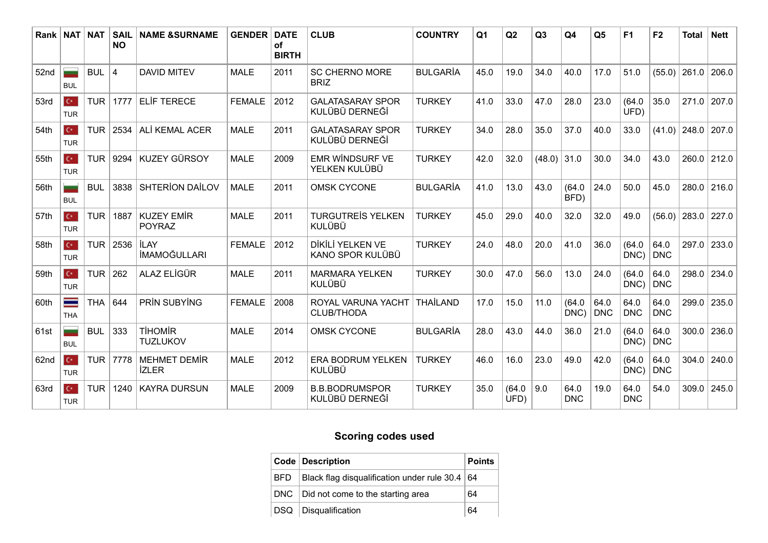| Rank   NAT |                                    | <b>NAT</b> | <b>SAIL</b><br><b>NO</b> | <b>NAME &amp;SURNAME</b>            | <b>GENDER</b> | <b>DATE</b><br>of<br><b>BIRTH</b> | <b>CLUB</b>                               | <b>COUNTRY</b>  | Q <sub>1</sub> | Q2             | Q3     | Q4                 | Q <sub>5</sub>     | F <sub>1</sub>     | F <sub>2</sub>     | <b>Total</b> | <b>Nett</b>     |
|------------|------------------------------------|------------|--------------------------|-------------------------------------|---------------|-----------------------------------|-------------------------------------------|-----------------|----------------|----------------|--------|--------------------|--------------------|--------------------|--------------------|--------------|-----------------|
| 52nd       | <b>BUL</b>                         | <b>BUL</b> | $\overline{4}$           | <b>DAVID MITEV</b>                  | <b>MALE</b>   | 2011                              | <b>SC CHERNO MORE</b><br><b>BRIZ</b>      | <b>BULGARIA</b> | 45.0           | 19.0           | 34.0   | 40.0               | 17.0               | 51.0               | (55.0)             | 261.0        | 206.0           |
| 53rd       | $\mathbf{C}^{\star}$<br><b>TUR</b> | <b>TUR</b> | 1777                     | <b>ELİF TERECE</b>                  | <b>FEMALE</b> | 2012                              | <b>GALATASARAY SPOR</b><br>KULÜBÜ DERNEĞİ | <b>TURKEY</b>   | 41.0           | 33.0           | 47.0   | 28.0               | 23.0               | (64.0)<br>UFD)     | 35.0               | 271.0        | 207.0           |
| 54th       | $\mathbf{C}^{\star}$<br><b>TUR</b> | <b>TUR</b> | 2534                     | ALİ KEMAL ACER                      | <b>MALE</b>   | 2011                              | <b>GALATASARAY SPOR</b><br>KULÜBÜ DERNEĞİ | <b>TURKEY</b>   | 34.0           | 28.0           | 35.0   | 37.0               | 40.0               | 33.0               | (41.0)             | 248.0        | 207.0           |
| 55th       | $C^*$<br><b>TUR</b>                | <b>TUR</b> | 9294                     | <b>KUZEY GÜRSOY</b>                 | <b>MALE</b>   | 2009                              | <b>EMR WINDSURF VE</b><br>YELKEN KULÜBÜ   | <b>TURKEY</b>   | 42.0           | 32.0           | (48.0) | 31.0               | 30.0               | 34.0               | 43.0               |              | 260.0 212.0     |
| 56th       | <b>BUL</b>                         | <b>BUL</b> | 3838                     | <b>SHTERION DAILOV</b>              | <b>MALE</b>   | 2011                              | <b>OMSK CYCONE</b>                        | <b>BULGARIA</b> | 41.0           | 13.0           | 43.0   | (64.0)<br>BFD)     | 24.0               | 50.0               | 45.0               | 280.0        | 216.0           |
| 57th       | $\mathbf{C}^{\star}$<br><b>TUR</b> | <b>TUR</b> | 1887                     | <b>KUZEY EMİR</b><br><b>POYRAZ</b>  | <b>MALE</b>   | 2011                              | <b>TURGUTREIS YELKEN</b><br><b>KULÜBÜ</b> | <b>TURKEY</b>   | 45.0           | 29.0           | 40.0   | 32.0               | 32.0               | 49.0               | (56.0)             | 283.0        | 227.0           |
| 58th       | $\mathbb{C}^*$<br><b>TUR</b>       | <b>TUR</b> | 2536                     | <b>İLAY</b><br><b>İMAMOĞULLARI</b>  | <b>FEMALE</b> | 2012                              | DİKİLİ YELKEN VE<br>KANO SPOR KULÜBÜ      | <b>TURKEY</b>   | 24.0           | 48.0           | 20.0   | 41.0               | 36.0               | (64.0)<br>DNC)     | 64.0<br>DNC        | 297.0        | 233.0           |
| 59th       | $\mathbf{C}^{\star}$<br><b>TUR</b> | <b>TUR</b> | 262                      | ALAZ ELİGÜR                         | <b>MALE</b>   | 2011                              | <b>MARMARA YELKEN</b><br>KULÜBÜ           | <b>TURKEY</b>   | 30.0           | 47.0           | 56.0   | 13.0               | 24.0               | (64.0)<br>DNC)     | 64.0<br><b>DNC</b> | 298.0        | 234.0           |
| 60th       | $\equiv$<br><b>THA</b>             | <b>THA</b> | 644                      | PRİN SUBYİNG                        | <b>FEMALE</b> | 2008                              | ROYAL VARUNA YACHT<br><b>CLUB/THODA</b>   | THAİLAND        | 17.0           | 15.0           | 11.0   | (64.0)<br>DNC)     | 64.0<br><b>DNC</b> | 64.0<br><b>DNC</b> | 64.0<br><b>DNC</b> | 299.0        | 235.0           |
| 61st       | <b>BUL</b>                         | <b>BUL</b> | 333                      | <b>TİHOMİR</b><br><b>TUZLUKOV</b>   | <b>MALE</b>   | 2014                              | <b>OMSK CYCONE</b>                        | <b>BULGARIA</b> | 28.0           | 43.0           | 44.0   | 36.0               | 21.0               | (64.0)<br>DNC)     | 64.0<br><b>DNC</b> | 300.0        | 236.0           |
| 62nd       | $\mathbf{C}^{\star}$<br><b>TUR</b> | <b>TUR</b> | 7778                     | <b>MEHMET DEMİR</b><br><b>IZLER</b> | <b>MALE</b>   | 2012                              | <b>ERA BODRUM YELKEN</b><br>KULÜBÜ        | <b>TURKEY</b>   | 46.0           | 16.0           | 23.0   | 49.0               | 42.0               | (64.0)<br>DNC)     | 64.0<br>DNC        | 304.0        | 240.0           |
| 63rd       | $\mathbf{C}^{\star}$<br><b>TUR</b> | <b>TUR</b> | 1240                     | <b>KAYRA DURSUN</b>                 | <b>MALE</b>   | 2009                              | <b>B.B.BODRUMSPOR</b><br>KULÜBÜ DERNEĞİ   | <b>TURKEY</b>   | 35.0           | (64.0)<br>UFD) | 9.0    | 64.0<br><b>DNC</b> | 19.0               | 64.0<br><b>DNC</b> | 54.0               |              | $309.0$   245.0 |

## **Scoring codes used**

| Code Description                                       | Points |
|--------------------------------------------------------|--------|
| BFD   Black flag disqualification under rule $30.4$ 64 |        |
| DNC   Did not come to the starting area                | 64     |
| DSQ Disqualification                                   | 64     |